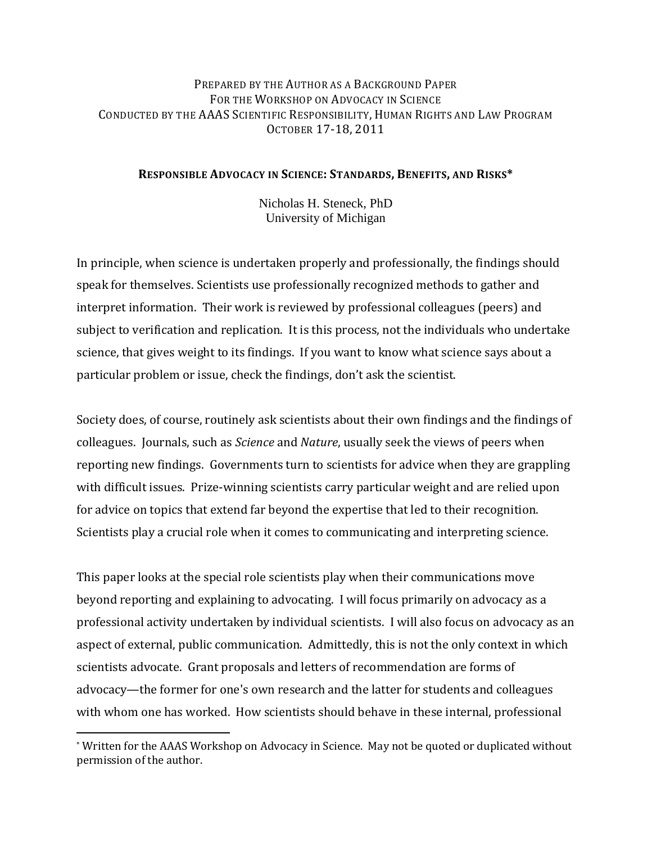# PREPARED BY THE AUTHOR AS A BACKGROUND PAPER FOR THE WORKSHOP ON ADVOCACY IN SCIENCE CONDUCTED BY THE AAAS SCIENTIFIC RESPONSIBILITY, HUMAN RIGHTS AND LAW PROGRAM OCTOBER 17-18, 2011

## **RESPONSIBLE ADVOCACY IN SCIENCE: STANDARDS, BENEFITS, AND RISKS\***

Nicholas H. Steneck, PhD University of Michigan

In principle, when science is undertaken properly and professionally, the findings should speak for themselves. Scientists use professionally recognized methods to gather and interpret information. Their work is reviewed by professional colleagues (peers) and subject to verification and replication. It is this process, not the individuals who undertake science, that gives weight to its findings. If you want to know what science says about a particular problem or issue, check the findings, don't ask the scientist.

Society does, of course, routinely ask scientists about their own findings and the findings of colleagues. Journals, such as *Science* and *Nature*, usually seek the views of peers when reporting new findings. Governments turn to scientists for advice when they are grappling with difficult issues. Prize-winning scientists carry particular weight and are relied upon for advice on topics that extend far beyond the expertise that led to their recognition. Scientists play a crucial role when it comes to communicating and interpreting science.

This paper looks at the special role scientists play when their communications move beyond reporting and explaining to advocating. I will focus primarily on advocacy as a professional activity undertaken by individual scientists. I will also focus on advocacy as an aspect of external, public communication. Admittedly, this is not the only context in which scientists advocate. Grant proposals and letters of recommendation are forms of advocacy—the former for one's own research and the latter for students and colleagues with whom one has worked. How scientists should behave in these internal, professional

 $\overline{a}$ 

<sup>\*</sup> Written for the AAAS Workshop on Advocacy in Science. May not be quoted or duplicated without permission of the author.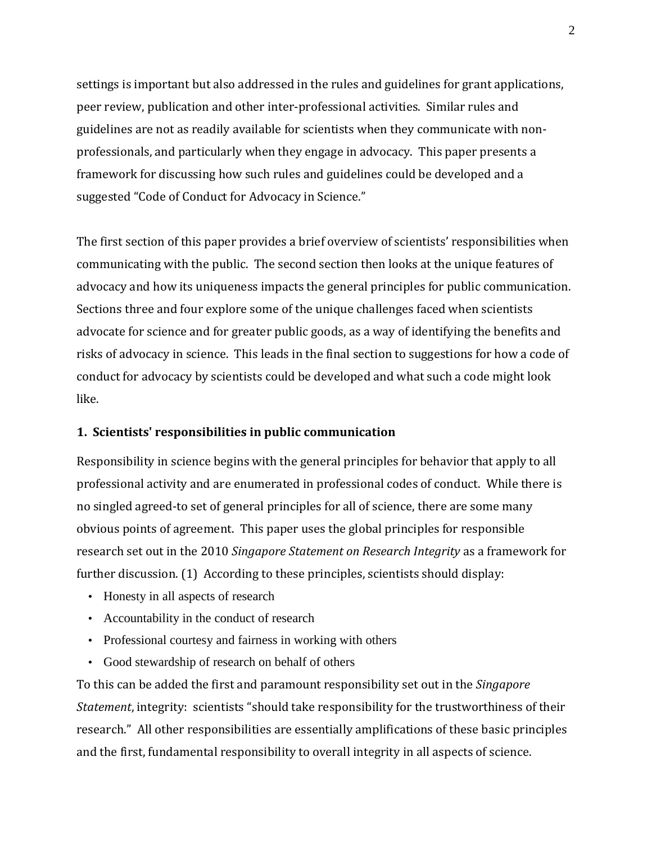settings is important but also addressed in the rules and guidelines for grant applications, peer review, publication and other inter-professional activities. Similar rules and guidelines are not as readily available for scientists when they communicate with nonprofessionals, and particularly when they engage in advocacy. This paper presents a framework for discussing how such rules and guidelines could be developed and a suggested "Code of Conduct for Advocacy in Science."

The first section of this paper provides a brief overview of scientists' responsibilities when communicating with the public. The second section then looks at the unique features of advocacy and how its uniqueness impacts the general principles for public communication. Sections three and four explore some of the unique challenges faced when scientists advocate for science and for greater public goods, as a way of identifying the benefits and risks of advocacy in science. This leads in the final section to suggestions for how a code of conduct for advocacy by scientists could be developed and what such a code might look like.

## **1. Scientists' responsibilities in public communication**

Responsibility in science begins with the general principles for behavior that apply to all professional activity and are enumerated in professional codes of conduct. While there is no singled agreed-to set of general principles for all of science, there are some many obvious points of agreement. This paper uses the global principles for responsible research set out in the 2010 *Singapore Statement on Research Integrity* as a framework for further discussion. (1) According to these principles, scientists should display:

- Honesty in all aspects of research
- Accountability in the conduct of research
- Professional courtesy and fairness in working with others
- Good stewardship of research on behalf of others

To this can be added the first and paramount responsibility set out in the *Singapore Statement*, integrity: scientists "should take responsibility for the trustworthiness of their research." All other responsibilities are essentially amplifications of these basic principles and the first, fundamental responsibility to overall integrity in all aspects of science.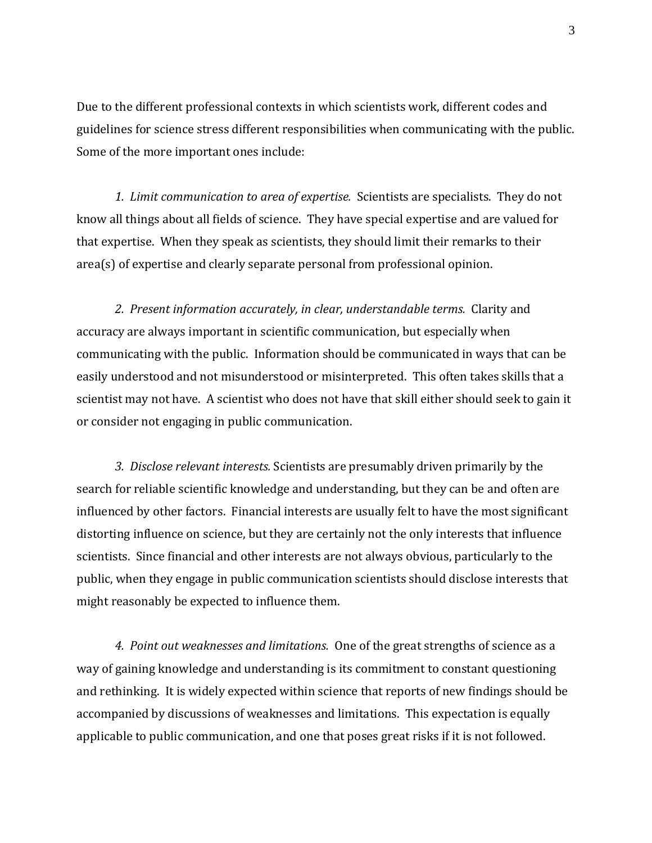Due to the different professional contexts in which scientists work, different codes and guidelines for science stress different responsibilities when communicating with the public. Some of the more important ones include:

*1. Limit communication to area of expertise.* Scientists are specialists. They do not know all things about all fields of science. They have special expertise and are valued for that expertise. When they speak as scientists, they should limit their remarks to their area(s) of expertise and clearly separate personal from professional opinion.

*2. Present information accurately, in clear, understandable terms.* Clarity and accuracy are always important in scientific communication, but especially when communicating with the public. Information should be communicated in ways that can be easily understood and not misunderstood or misinterpreted. This often takes skills that a scientist may not have. A scientist who does not have that skill either should seek to gain it or consider not engaging in public communication.

*3. Disclose relevant interests.* Scientists are presumably driven primarily by the search for reliable scientific knowledge and understanding, but they can be and often are influenced by other factors. Financial interests are usually felt to have the most significant distorting influence on science, but they are certainly not the only interests that influence scientists. Since financial and other interests are not always obvious, particularly to the public, when they engage in public communication scientists should disclose interests that might reasonably be expected to influence them.

*4. Point out weaknesses and limitations.* One of the great strengths of science as a way of gaining knowledge and understanding is its commitment to constant questioning and rethinking. It is widely expected within science that reports of new findings should be accompanied by discussions of weaknesses and limitations. This expectation is equally applicable to public communication, and one that poses great risks if it is not followed.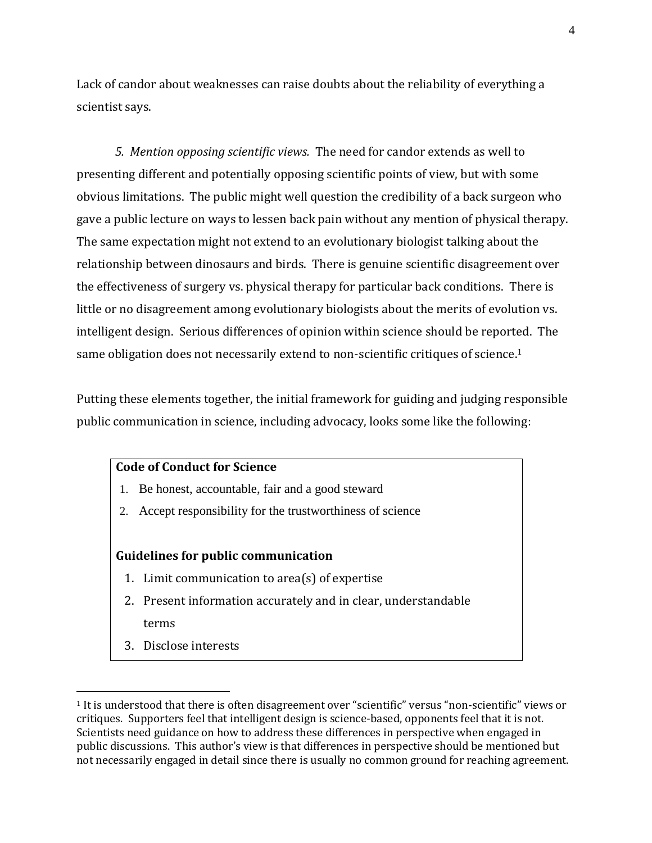Lack of candor about weaknesses can raise doubts about the reliability of everything a scientist says.

*5. Mention opposing scientific views.* The need for candor extends as well to presenting different and potentially opposing scientific points of view, but with some obvious limitations. The public might well question the credibility of a back surgeon who gave a public lecture on ways to lessen back pain without any mention of physical therapy. The same expectation might not extend to an evolutionary biologist talking about the relationship between dinosaurs and birds. There is genuine scientific disagreement over the effectiveness of surgery vs. physical therapy for particular back conditions. There is little or no disagreement among evolutionary biologists about the merits of evolution vs. intelligent design. Serious differences of opinion within science should be reported. The same obligation does not necessarily extend to non-scientific critiques of science.<sup>1</sup>

Putting these elements together, the initial framework for guiding and judging responsible public communication in science, including advocacy, looks some like the following:

## **Code of Conduct for Science**

- 1. Be honest, accountable, fair and a good steward
- 2. Accept responsibility for the trustworthiness of science

## **Guidelines for public communication**

- 1. Limit communication to area(s) of expertise
- 2. Present information accurately and in clear, understandable terms
- 3. Disclose interests

 $\overline{a}$ 

<sup>1</sup> It is understood that there is often disagreement over "scientific" versus "non-scientific" views or critiques. Supporters feel that intelligent design is science-based, opponents feel that it is not. Scientists need guidance on how to address these differences in perspective when engaged in public discussions. This author's view is that differences in perspective should be mentioned but not necessarily engaged in detail since there is usually no common ground for reaching agreement.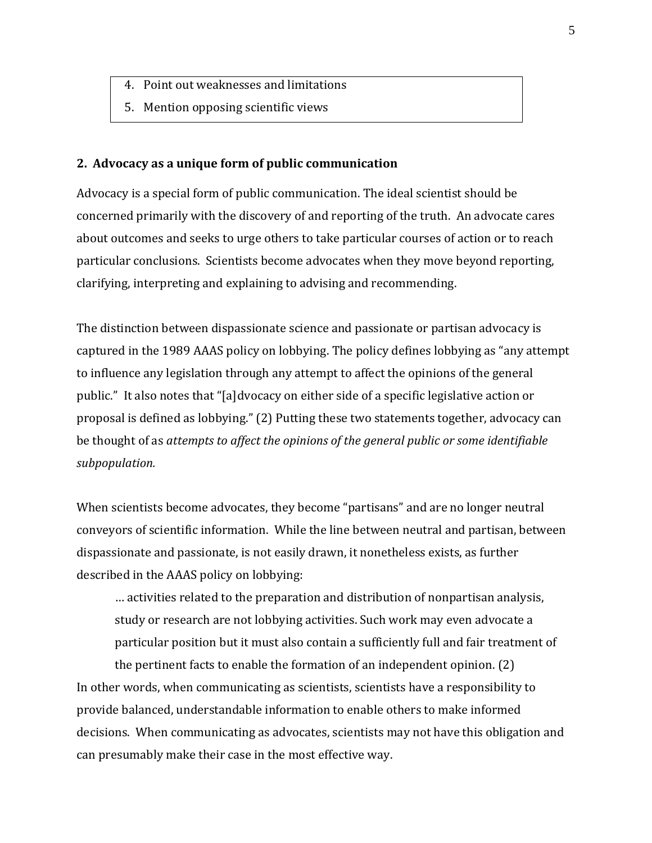- 4. Point out weaknesses and limitations
- 5. Mention opposing scientific views

### **2. Advocacy as a unique form of public communication**

Advocacy is a special form of public communication. The ideal scientist should be concerned primarily with the discovery of and reporting of the truth. An advocate cares about outcomes and seeks to urge others to take particular courses of action or to reach particular conclusions. Scientists become advocates when they move beyond reporting, clarifying, interpreting and explaining to advising and recommending.

The distinction between dispassionate science and passionate or partisan advocacy is captured in the 1989 AAAS policy on lobbying. The policy defines lobbying as "any attempt to influence any legislation through any attempt to affect the opinions of the general public." It also notes that "[a]dvocacy on either side of a specific legislative action or proposal is defined as lobbying." (2) Putting these two statements together, advocacy can be thought of as *attempts to affect the opinions of the general public or some identifiable subpopulation.*

When scientists become advocates, they become "partisans" and are no longer neutral conveyors of scientific information. While the line between neutral and partisan, between dispassionate and passionate, is not easily drawn, it nonetheless exists, as further described in the AAAS policy on lobbying:

… activities related to the preparation and distribution of nonpartisan analysis, study or research are not lobbying activities. Such work may even advocate a particular position but it must also contain a sufficiently full and fair treatment of

the pertinent facts to enable the formation of an independent opinion. (2) In other words, when communicating as scientists, scientists have a responsibility to provide balanced, understandable information to enable others to make informed decisions. When communicating as advocates, scientists may not have this obligation and can presumably make their case in the most effective way.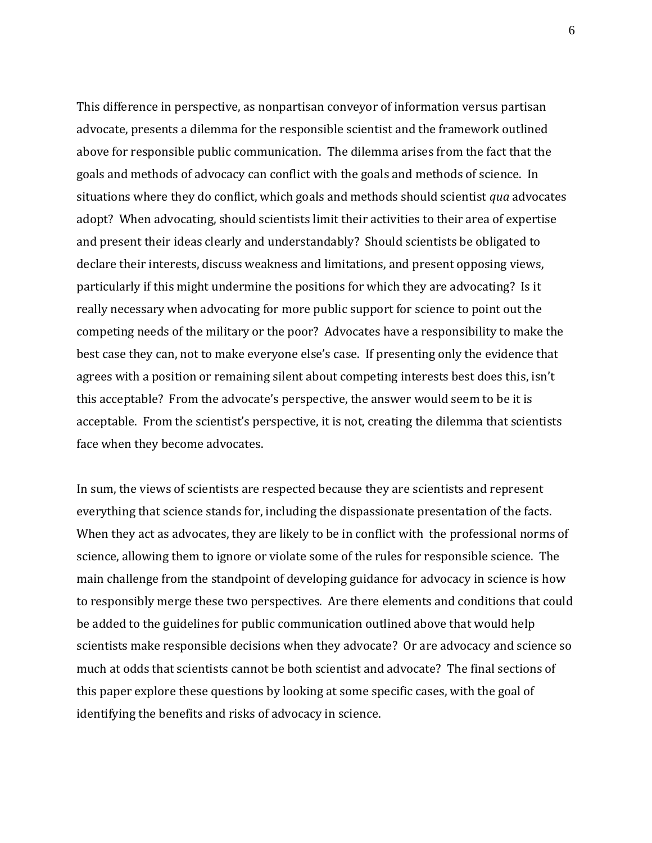This difference in perspective, as nonpartisan conveyor of information versus partisan advocate, presents a dilemma for the responsible scientist and the framework outlined above for responsible public communication. The dilemma arises from the fact that the goals and methods of advocacy can conflict with the goals and methods of science. In situations where they do conflict, which goals and methods should scientist *qua* advocates adopt? When advocating, should scientists limit their activities to their area of expertise and present their ideas clearly and understandably? Should scientists be obligated to declare their interests, discuss weakness and limitations, and present opposing views, particularly if this might undermine the positions for which they are advocating? Is it really necessary when advocating for more public support for science to point out the competing needs of the military or the poor? Advocates have a responsibility to make the best case they can, not to make everyone else's case. If presenting only the evidence that agrees with a position or remaining silent about competing interests best does this, isn't this acceptable? From the advocate's perspective, the answer would seem to be it is acceptable. From the scientist's perspective, it is not, creating the dilemma that scientists face when they become advocates.

In sum, the views of scientists are respected because they are scientists and represent everything that science stands for, including the dispassionate presentation of the facts. When they act as advocates, they are likely to be in conflict with the professional norms of science, allowing them to ignore or violate some of the rules for responsible science. The main challenge from the standpoint of developing guidance for advocacy in science is how to responsibly merge these two perspectives. Are there elements and conditions that could be added to the guidelines for public communication outlined above that would help scientists make responsible decisions when they advocate? Or are advocacy and science so much at odds that scientists cannot be both scientist and advocate? The final sections of this paper explore these questions by looking at some specific cases, with the goal of identifying the benefits and risks of advocacy in science.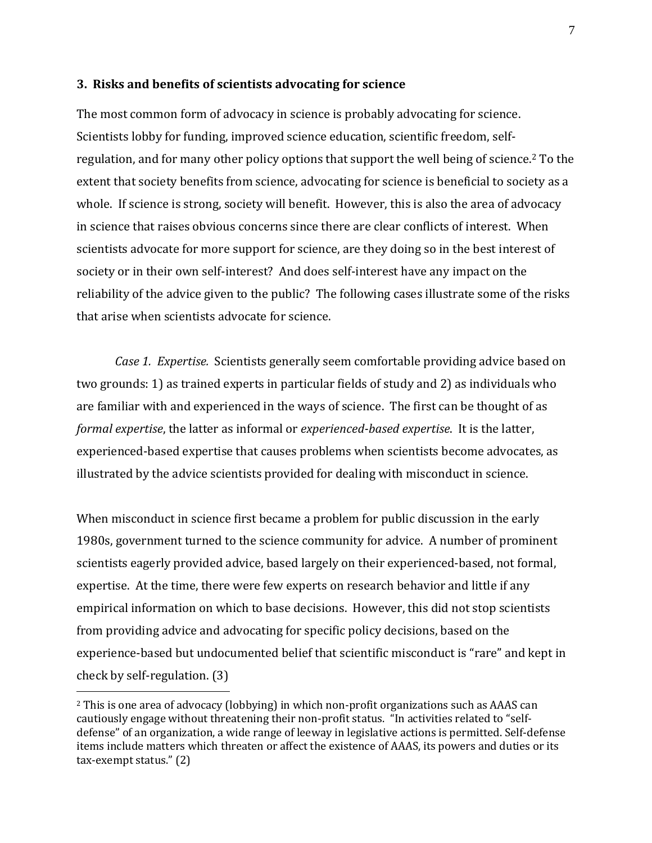### **3. Risks and benefits of scientists advocating for science**

The most common form of advocacy in science is probably advocating for science. Scientists lobby for funding, improved science education, scientific freedom, selfregulation, and for many other policy options that support the well being of science.<sup>2</sup> To the extent that society benefits from science, advocating for science is beneficial to society as a whole. If science is strong, society will benefit. However, this is also the area of advocacy in science that raises obvious concerns since there are clear conflicts of interest. When scientists advocate for more support for science, are they doing so in the best interest of society or in their own self-interest? And does self-interest have any impact on the reliability of the advice given to the public? The following cases illustrate some of the risks that arise when scientists advocate for science.

*Case 1. Expertise.* Scientists generally seem comfortable providing advice based on two grounds: 1) as trained experts in particular fields of study and 2) as individuals who are familiar with and experienced in the ways of science. The first can be thought of as *formal expertise*, the latter as informal or *experienced-based expertise*. It is the latter, experienced-based expertise that causes problems when scientists become advocates, as illustrated by the advice scientists provided for dealing with misconduct in science.

When misconduct in science first became a problem for public discussion in the early 1980s, government turned to the science community for advice. A number of prominent scientists eagerly provided advice, based largely on their experienced-based, not formal, expertise. At the time, there were few experts on research behavior and little if any empirical information on which to base decisions. However, this did not stop scientists from providing advice and advocating for specific policy decisions, based on the experience-based but undocumented belief that scientific misconduct is "rare" and kept in check by self-regulation. (3)

 $\overline{a}$ 

<sup>2</sup> This is one area of advocacy (lobbying) in which non-profit organizations such as AAAS can cautiously engage without threatening their non-profit status. "In activities related to "selfdefense" of an organization, a wide range of leeway in legislative actions is permitted. Self-defense items include matters which threaten or affect the existence of AAAS, its powers and duties or its tax-exempt status." (2)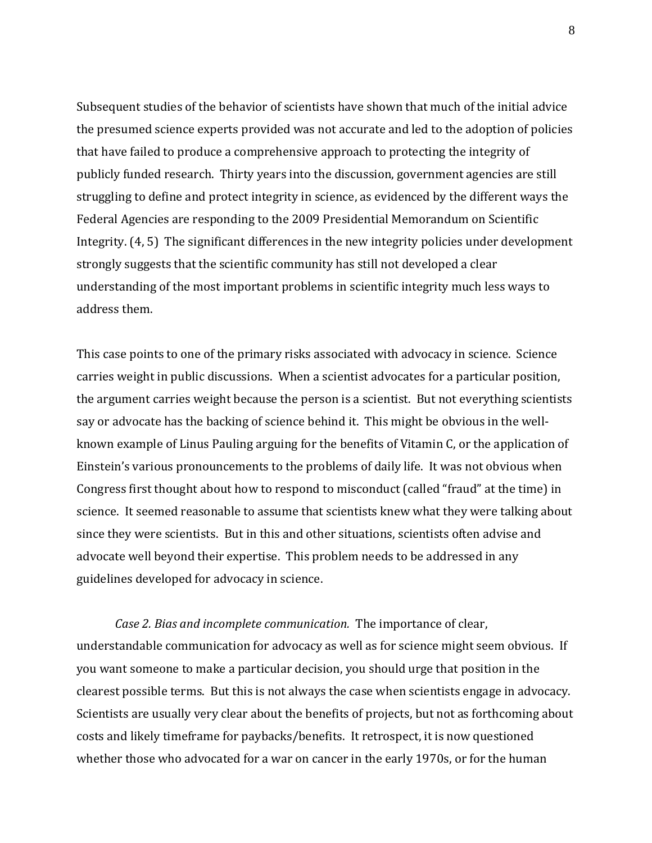Subsequent studies of the behavior of scientists have shown that much of the initial advice the presumed science experts provided was not accurate and led to the adoption of policies that have failed to produce a comprehensive approach to protecting the integrity of publicly funded research. Thirty years into the discussion, government agencies are still struggling to define and protect integrity in science, as evidenced by the different ways the Federal Agencies are responding to the 2009 Presidential Memorandum on Scientific Integrity. (4, 5) The significant differences in the new integrity policies under development strongly suggests that the scientific community has still not developed a clear understanding of the most important problems in scientific integrity much less ways to address them.

This case points to one of the primary risks associated with advocacy in science. Science carries weight in public discussions. When a scientist advocates for a particular position, the argument carries weight because the person is a scientist. But not everything scientists say or advocate has the backing of science behind it. This might be obvious in the wellknown example of Linus Pauling arguing for the benefits of Vitamin C, or the application of Einstein's various pronouncements to the problems of daily life. It was not obvious when Congress first thought about how to respond to misconduct (called "fraud" at the time) in science. It seemed reasonable to assume that scientists knew what they were talking about since they were scientists. But in this and other situations, scientists often advise and advocate well beyond their expertise. This problem needs to be addressed in any guidelines developed for advocacy in science.

*Case 2. Bias and incomplete communication.* The importance of clear, understandable communication for advocacy as well as for science might seem obvious. If you want someone to make a particular decision, you should urge that position in the clearest possible terms. But this is not always the case when scientists engage in advocacy. Scientists are usually very clear about the benefits of projects, but not as forthcoming about costs and likely timeframe for paybacks/benefits. It retrospect, it is now questioned whether those who advocated for a war on cancer in the early 1970s, or for the human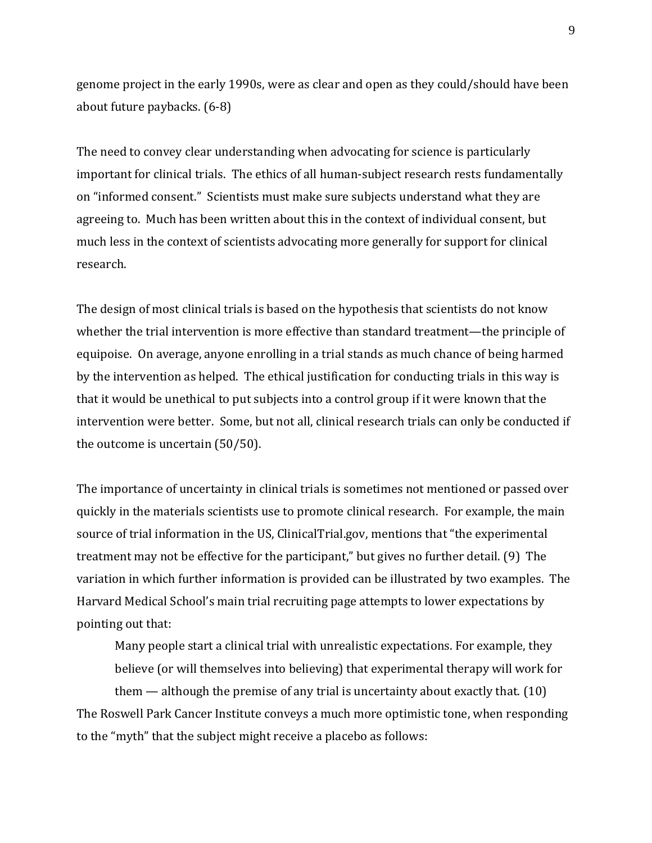genome project in the early 1990s, were as clear and open as they could/should have been about future paybacks. (6-8)

The need to convey clear understanding when advocating for science is particularly important for clinical trials. The ethics of all human-subject research rests fundamentally on "informed consent." Scientists must make sure subjects understand what they are agreeing to. Much has been written about this in the context of individual consent, but much less in the context of scientists advocating more generally for support for clinical research.

The design of most clinical trials is based on the hypothesis that scientists do not know whether the trial intervention is more effective than standard treatment—the principle of equipoise. On average, anyone enrolling in a trial stands as much chance of being harmed by the intervention as helped. The ethical justification for conducting trials in this way is that it would be unethical to put subjects into a control group if it were known that the intervention were better. Some, but not all, clinical research trials can only be conducted if the outcome is uncertain (50/50).

The importance of uncertainty in clinical trials is sometimes not mentioned or passed over quickly in the materials scientists use to promote clinical research. For example, the main source of trial information in the US, ClinicalTrial.gov, mentions that "the experimental treatment may not be effective for the participant," but gives no further detail. (9) The variation in which further information is provided can be illustrated by two examples. The Harvard Medical School's main trial recruiting page attempts to lower expectations by pointing out that:

Many people start a clinical trial with unrealistic expectations. For example, they believe (or will themselves into believing) that experimental therapy will work for them — although the premise of any trial is uncertainty about exactly that. (10) The Roswell Park Cancer Institute conveys a much more optimistic tone, when responding to the "myth" that the subject might receive a placebo as follows: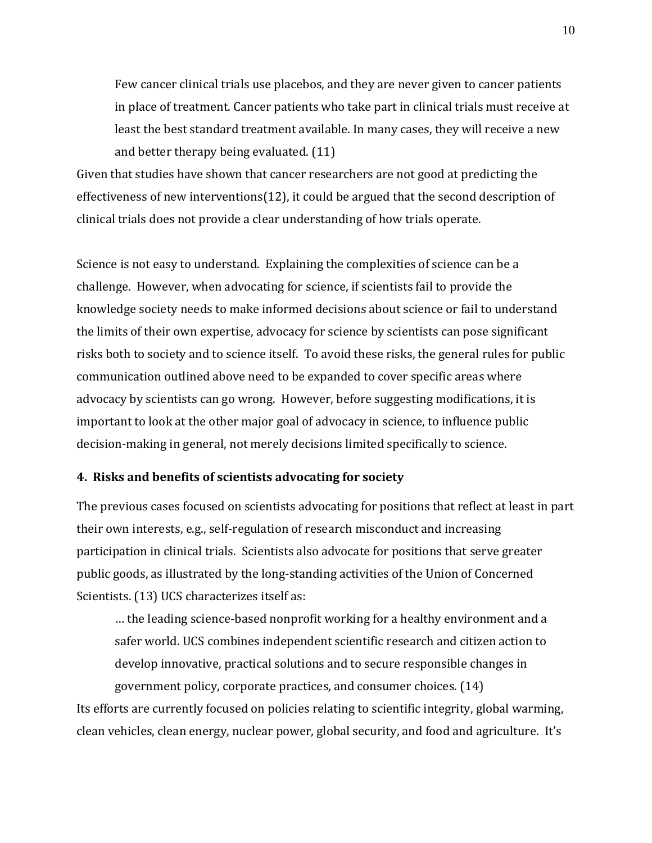Few cancer clinical trials use placebos, and they are never given to cancer patients in place of treatment. Cancer patients who take part in clinical trials must receive at least the best standard treatment available. In many cases, they will receive a new and better therapy being evaluated. (11)

Given that studies have shown that cancer researchers are not good at predicting the effectiveness of new interventions(12), it could be argued that the second description of clinical trials does not provide a clear understanding of how trials operate.

Science is not easy to understand. Explaining the complexities of science can be a challenge. However, when advocating for science, if scientists fail to provide the knowledge society needs to make informed decisions about science or fail to understand the limits of their own expertise, advocacy for science by scientists can pose significant risks both to society and to science itself. To avoid these risks, the general rules for public communication outlined above need to be expanded to cover specific areas where advocacy by scientists can go wrong. However, before suggesting modifications, it is important to look at the other major goal of advocacy in science, to influence public decision-making in general, not merely decisions limited specifically to science.

### **4. Risks and benefits of scientists advocating for society**

The previous cases focused on scientists advocating for positions that reflect at least in part their own interests, e.g., self-regulation of research misconduct and increasing participation in clinical trials. Scientists also advocate for positions that serve greater public goods, as illustrated by the long-standing activities of the Union of Concerned Scientists. (13) UCS characterizes itself as:

… the leading science-based nonprofit working for a healthy environment and a safer world. UCS combines independent scientific research and citizen action to develop innovative, practical solutions and to secure responsible changes in government policy, corporate practices, and consumer choices. (14)

Its efforts are currently focused on policies relating to scientific integrity, global warming, clean vehicles, clean energy, nuclear power, global security, and food and agriculture. It's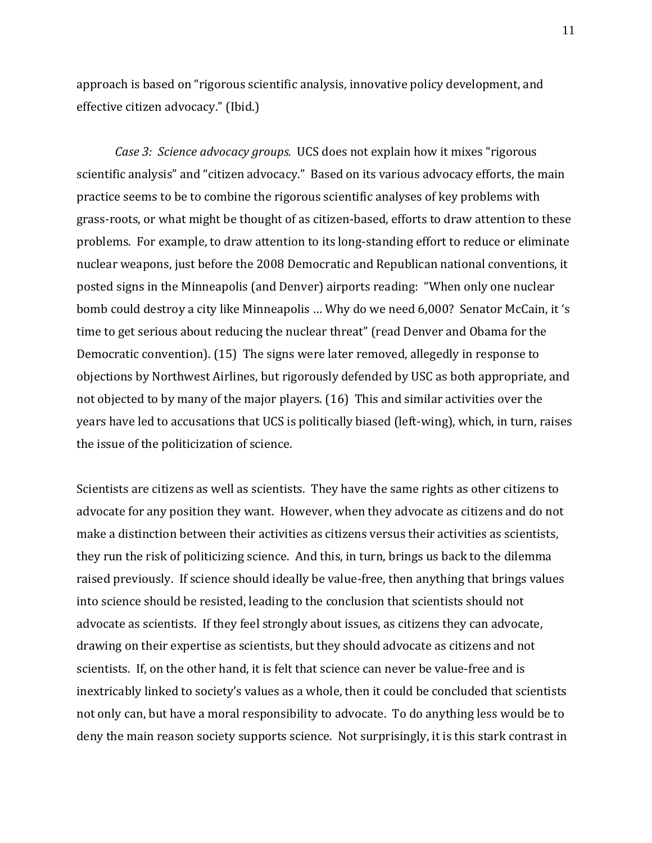approach is based on "rigorous scientific analysis, innovative policy development, and effective citizen advocacy." (Ibid.)

*Case 3: Science advocacy groups.* UCS does not explain how it mixes "rigorous scientific analysis" and "citizen advocacy." Based on its various advocacy efforts, the main practice seems to be to combine the rigorous scientific analyses of key problems with grass-roots, or what might be thought of as citizen-based, efforts to draw attention to these problems. For example, to draw attention to its long-standing effort to reduce or eliminate nuclear weapons, just before the 2008 Democratic and Republican national conventions, it posted signs in the Minneapolis (and Denver) airports reading: "When only one nuclear bomb could destroy a city like Minneapolis … Why do we need 6,000? Senator McCain, it 's time to get serious about reducing the nuclear threat" (read Denver and Obama for the Democratic convention). (15) The signs were later removed, allegedly in response to objections by Northwest Airlines, but rigorously defended by USC as both appropriate, and not objected to by many of the major players. (16) This and similar activities over the years have led to accusations that UCS is politically biased (left-wing), which, in turn, raises the issue of the politicization of science.

Scientists are citizens as well as scientists. They have the same rights as other citizens to advocate for any position they want. However, when they advocate as citizens and do not make a distinction between their activities as citizens versus their activities as scientists, they run the risk of politicizing science. And this, in turn, brings us back to the dilemma raised previously. If science should ideally be value-free, then anything that brings values into science should be resisted, leading to the conclusion that scientists should not advocate as scientists. If they feel strongly about issues, as citizens they can advocate, drawing on their expertise as scientists, but they should advocate as citizens and not scientists. If, on the other hand, it is felt that science can never be value-free and is inextricably linked to society's values as a whole, then it could be concluded that scientists not only can, but have a moral responsibility to advocate. To do anything less would be to deny the main reason society supports science. Not surprisingly, it is this stark contrast in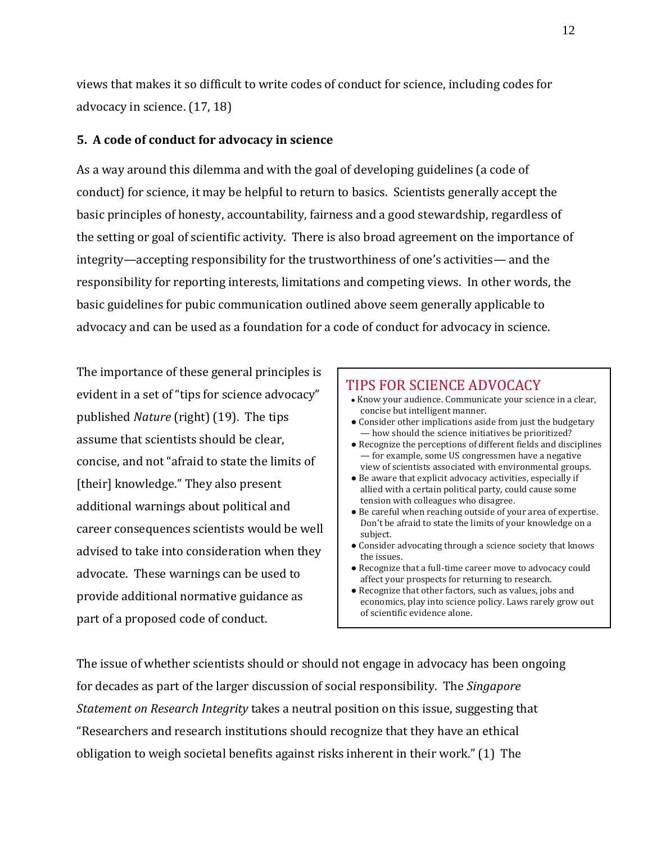views that makes it so difficult to write codes of conduct for science, including codes for advocacy in science. (17, 18)

# **5. A code of conduct for advocacy in science**

As a way around this dilemma and with the goal of developing guidelines (a code of conduct) for science, it may be helpful to return to basics. Scientists generally accept the basic principles of honesty, accountability, fairness and a good stewardship, regardless of the setting or goal of scientific activity. There is also broad agreement on the importance of integrity—accepting responsibility for the trustworthiness of one's activities— and the responsibility for reporting interests, limitations and competing views. In other words, the basic guidelines for pubic communication outlined above seem generally applicable to advocacy and can be used as a foundation for a code of conduct for advocacy in science.

The importance of these general principles is evident in a set of "tips for science advocacy" published *Nature* (right) (19). The tips assume that scientists should be clear, concise, and not "afraid to state the limits of [their] knowledge." They also present additional warnings about political and career consequences scientists would be well advised to take into consideration when they advocate. These warnings can be used to provide additional normative guidance as part of a proposed code of conduct.

#### TIPS FOR SCIENCE ADVOCACY ● Know your audience. Communicate your science in a clear, concise but intelligent manner. • Consider other implications aside from just the budgetary — how should the science initiatives be prioritized? ● Recognize the perceptions of different fields and disciplines — for example, some US congressmen have a negative view of scientists associated with environmental groups. ● Be aware that explicit advocacy activities, especially if allied with a certain political party, could cause some tension with colleagues who disagree. ● Be careful when reaching outside of your area of expertise. Don't be afraid to state the limits of your knowledge on a subject. • Consider advocating through a science society that knows

- the issues.
- Recognize that a full-time career move to advocacy could affect your prospects for returning to research.
- Recognize that other factors, such as values, jobs and economics, play into science policy. Laws rarely grow out of scientific evidence alone.

The issue of whether scientists should or should not engage in advocacy has been ongoing for decades as part of the larger discussion of social responsibility. The *Singapore Statement on Research Integrity* takes a neutral position on this issue, suggesting that "Researchers and research institutions should recognize that they have an ethical obligation to weigh societal benefits against risks inherent in their work." (1) The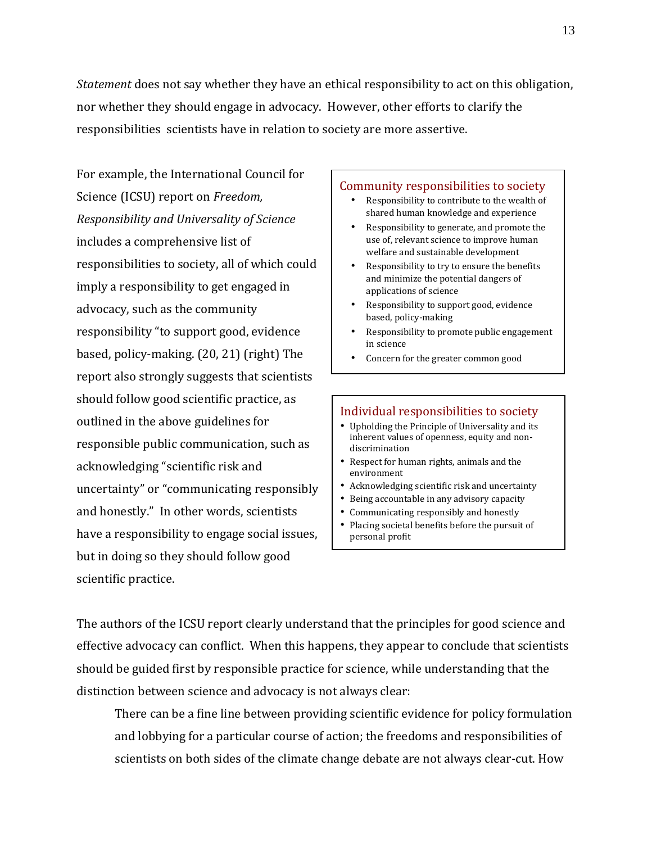*Statement* does not say whether they have an ethical responsibility to act on this obligation, nor whether they should engage in advocacy. However, other efforts to clarify the responsibilities scientists have in relation to society are more assertive.

For example, the International Council for Science (ICSU) report on *Freedom, Responsibility and Universality of Science* includes a comprehensive list of responsibilities to society, all of which could imply a responsibility to get engaged in advocacy, such as the community responsibility "to support good, evidence based, policy-making. (20, 21) (right) The report also strongly suggests that scientists should follow good scientific practice, as outlined in the above guidelines for responsible public communication, such as acknowledging "scientific risk and uncertainty" or "communicating responsibly and honestly." In other words, scientists have a responsibility to engage social issues, but in doing so they should follow good scientific practice.

#### Community responsibilities to society

- Responsibility to contribute to the wealth of shared human knowledge and experience
- Responsibility to generate, and promote the use of, relevant science to improve human welfare and sustainable development
- Responsibility to try to ensure the benefits and minimize the potential dangers of applications of science
- Responsibility to support good, evidence based, policy-making
- Responsibility to promote public engagement in science
- Concern for the greater common good

#### Individual responsibilities to society

- Upholding the Principle of Universality and its inherent values of openness, equity and nondiscrimination
- Respect for human rights, animals and the environment
- Acknowledging scientific risk and uncertainty
- Being accountable in any advisory capacity
- Communicating responsibly and honestly
- Placing societal benefits before the pursuit of personal profit

The authors of the ICSU report clearly understand that the principles for good science and effective advocacy can conflict. When this happens, they appear to conclude that scientists should be guided first by responsible practice for science, while understanding that the distinction between science and advocacy is not always clear:

There can be a fine line between providing scientific evidence for policy formulation and lobbying for a particular course of action; the freedoms and responsibilities of scientists on both sides of the climate change debate are not always clear-cut. How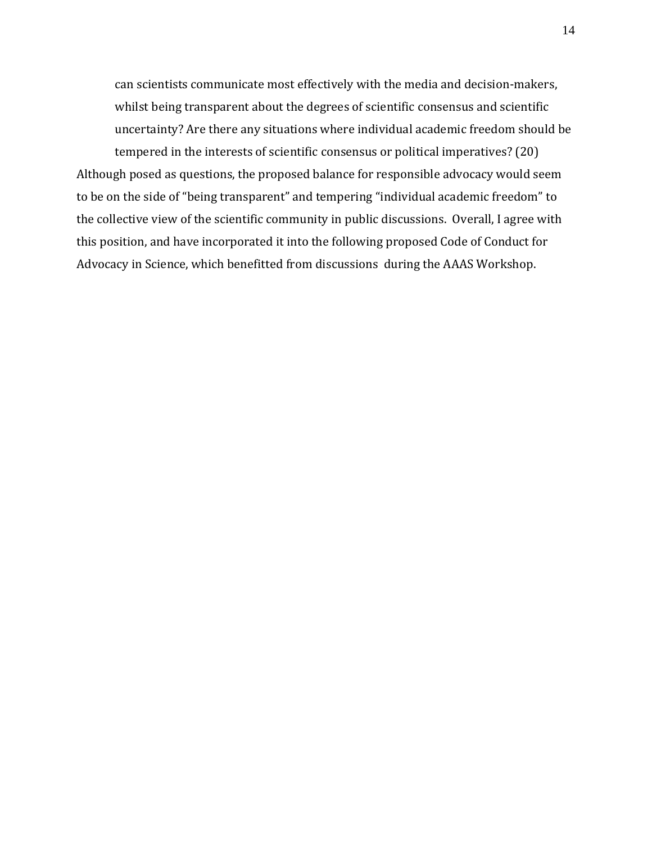can scientists communicate most effectively with the media and decision-makers, whilst being transparent about the degrees of scientific consensus and scientific uncertainty? Are there any situations where individual academic freedom should be tempered in the interests of scientific consensus or political imperatives? (20)

Although posed as questions, the proposed balance for responsible advocacy would seem to be on the side of "being transparent" and tempering "individual academic freedom" to the collective view of the scientific community in public discussions. Overall, I agree with this position, and have incorporated it into the following proposed Code of Conduct for Advocacy in Science, which benefitted from discussions during the AAAS Workshop.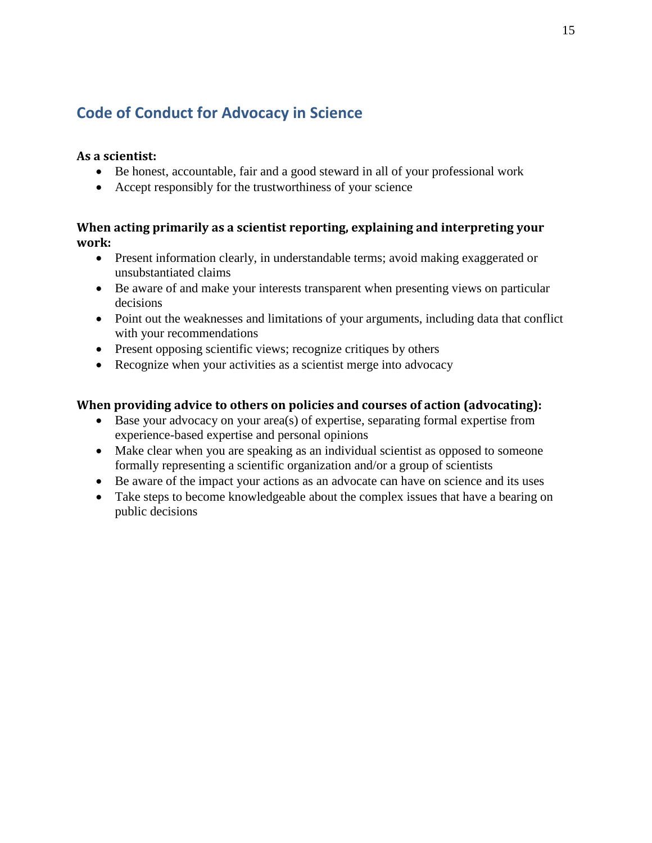# **Code of Conduct for Advocacy in Science**

# **As a scientist:**

- Be honest, accountable, fair and a good steward in all of your professional work
- Accept responsibly for the trustworthiness of your science

# **When acting primarily as a scientist reporting, explaining and interpreting your work:**

- Present information clearly, in understandable terms; avoid making exaggerated or unsubstantiated claims
- Be aware of and make your interests transparent when presenting views on particular decisions
- Point out the weaknesses and limitations of your arguments, including data that conflict with your recommendations
- Present opposing scientific views; recognize critiques by others
- Recognize when your activities as a scientist merge into advocacy

# **When providing advice to others on policies and courses of action (advocating):**

- Base your advocacy on your area(s) of expertise, separating formal expertise from experience-based expertise and personal opinions
- Make clear when you are speaking as an individual scientist as opposed to someone formally representing a scientific organization and/or a group of scientists
- Be aware of the impact your actions as an advocate can have on science and its uses
- Take steps to become knowledgeable about the complex issues that have a bearing on public decisions